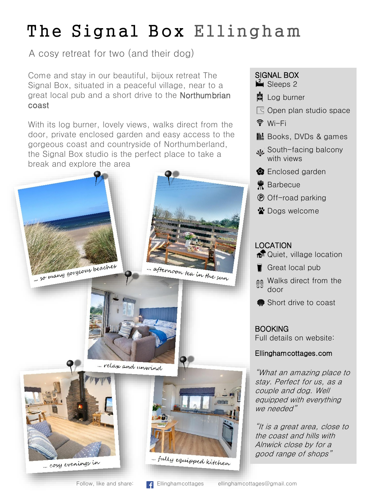# The Signal Box Ellingham

A cosy retreat for two (and their dog)

Come and stay in our beautiful, bijoux retreat The Signal Box, situated in a peaceful village, near to a great local pub and a short drive to the Northumbrian coast

With its log burner, lovely views, walks direct from the door, private enclosed garden and easy access to the gorgeous coast and countryside of Northumberland, the Signal Box studio is the perfect place to take a break and explore the area



### SIGNAL BOX

- $\mathbb{I}$  Sleeps 2
- **Q** Log burner
- $\mathbb S$  Open plan studio space
- $\widehat{\mathcal{F}}$  Wi-Fi
- **III:** Books, DVDs & games
- South-facing balcony with views
- **O** Enclosed garden
- **荒** Barbecue
- $\overline{P}$  Off-road parking
- Dogs welcome

### LOCATION

- <del>n</del> Quiet, village location
- Great local pub
- **Malks direct from the** door
- Short drive to coast

**BOOKING** Full details on website:

### Ellinghamcottages.com

"What an amazing place to stay. Perfect for us, as a couple and dog. Well equipped with everything we needed"

"It is a great area, close to the coast and hills with Alnwick close by for a good range of shops"